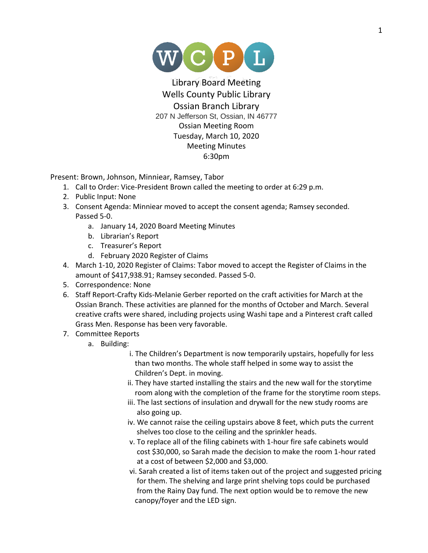

Library Board Meeting Wells County Public Library Ossian Branch Library 207 N Jefferson St, Ossian, IN 46777 Ossian Meeting Room Tuesday, March 10, 2020 Meeting Minutes 6:30pm

Present: Brown, Johnson, Minniear, Ramsey, Tabor

- 1. Call to Order: Vice-President Brown called the meeting to order at 6:29 p.m.
- 2. Public Input: None
- 3. Consent Agenda: Minniear moved to accept the consent agenda; Ramsey seconded. Passed 5-0.
	- a. January 14, 2020 Board Meeting Minutes
	- b. Librarian's Report
	- c. Treasurer's Report
	- d. February 2020 Register of Claims
- 4. March 1-10, 2020 Register of Claims: Tabor moved to accept the Register of Claims in the amount of \$417,938.91; Ramsey seconded. Passed 5-0.
- 5. Correspondence: None
- 6. Staff Report-Crafty Kids-Melanie Gerber reported on the craft activities for March at the Ossian Branch. These activities are planned for the months of October and March. Several creative crafts were shared, including projects using Washi tape and a Pinterest craft called Grass Men. Response has been very favorable.
- 7. Committee Reports
	- a. Building:
		- i. The Children's Department is now temporarily upstairs, hopefully for less than two months. The whole staff helped in some way to assist the Children's Dept. in moving.
		- ii. They have started installing the stairs and the new wall for the storytime room along with the completion of the frame for the storytime room steps.
		- iii. The last sections of insulation and drywall for the new study rooms are also going up.
		- iv. We cannot raise the ceiling upstairs above 8 feet, which puts the current shelves too close to the ceiling and the sprinkler heads.
		- v. To replace all of the filing cabinets with 1-hour fire safe cabinets would cost \$30,000, so Sarah made the decision to make the room 1-hour rated at a cost of between \$2,000 and \$3,000.
		- vi. Sarah created a list of items taken out of the project and suggested pricing for them. The shelving and large print shelving tops could be purchased from the Rainy Day fund. The next option would be to remove the new canopy/foyer and the LED sign.